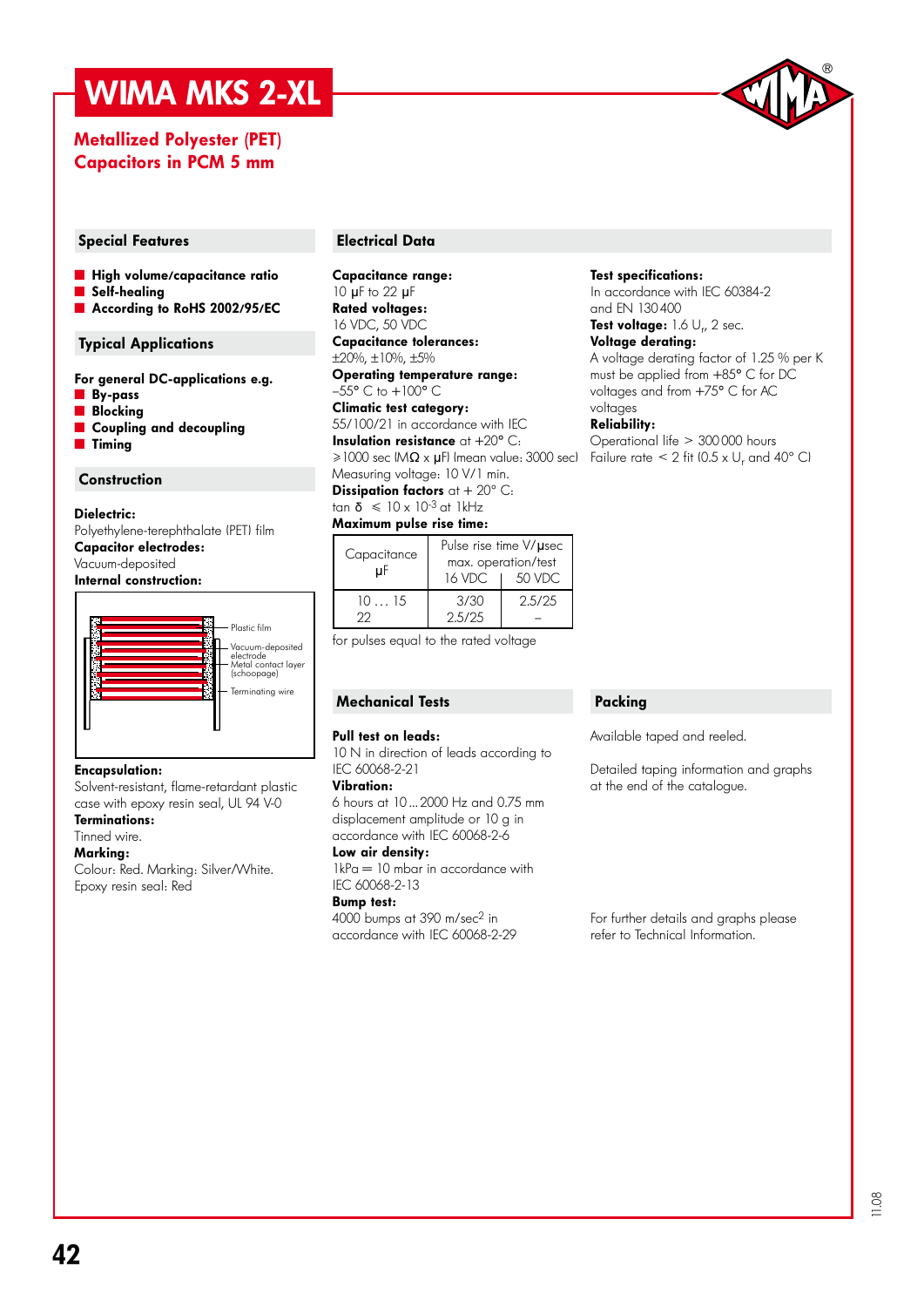# WIMA MKS 2-XL

### Metallized Polyester (PET) Capacitors in PCM 5 mm



#### Special Features **Electrical Data**

- **E** High volume/capacitance ratio
- Self-healing
- According to RoHS 2002/95/EC

#### Typical Applications

For general DC-applications e.g.

- ˜ By-pass
- **N** Blocking
- Coupling and decoupling
- **Timing**

#### **Construction**

#### Dielectric:

Polyethylene-terephthalate (PET) film Capacitor electrodes: Vacuum-deposited Internal construction:



#### Encapsulation:

Solvent-resistant, flame-retardant plastic case with epoxy resin seal, UL 94 V-0 Terminations:

## Tinned wire.

### Marking:

Colour: Red. Marking: Silver/White. Epoxy resin seal: Red

Capacitance range: 10 µF to 22 µF Rated voltages: 16 VDC, 50 VDC Capacitance tolerances:

±20%, ±10%, ±5% Operating temperature range:

 $-55^{\circ}$  C to  $+100^{\circ}$  C Climatic test category:

 $\geq$ 1000 sec (M $\Omega$  x  $\mu$ F) (mean value: 3000 sec) Failure rate  $\leq$  2 fit (0.5 x U<sub>r</sub> and 40° Cl 55/100/21 in accordance with IEC **Insulation resistance** at  $+20^{\circ}$  C:

Measuring voltage: 10 V/1 min. Dissipation factors  $at + 20^{\circ}$  C:

tan  $\delta \leq 10 \times 10^{-3}$  at 1kHz Maximum pulse rise time:

| Capacitance | Pulse rise time V/usec                  |        |  |  |  |
|-------------|-----------------------------------------|--------|--|--|--|
| uF          | max. operation/test<br>50 VDC<br>16 VDC |        |  |  |  |
| 1015<br>フワ  | 3/30<br>2.5/25                          | 2.5/25 |  |  |  |

for pulses equal to the rated voltage

#### Mechanical Tests

#### Pull test on leads:

10 N in direction of leads according to IEC 60068-2-21

#### Vibration:

6 hours at 10 ... 2000 Hz and 0.75 mm displacement amplitude or 10 g in accordance with IEC 60068-2-6

#### Low air density:

 $1kPa = 10$  mbar in accordance with IEC 60068-2-13

#### Bump test:

4000 bumps at 390 m/sec2 in accordance with IEC 60068-2-29

#### Test specifications:

In accordance with IEC 60384-2 and EN 130 400

#### Test voltage: 1.6  $\cup_{r}$ , 2 sec.

Voltage derating: A voltage derating factor of 1.25 % per K must be applied from +85° C for DC voltages and from +75° C for AC voltages

#### Reliability:

Operational life > 300 000 hours

#### Packing

Available taped and reeled.

Detailed taping information and graphs at the end of the catalogue.

For further details and graphs please refer to Technical Information.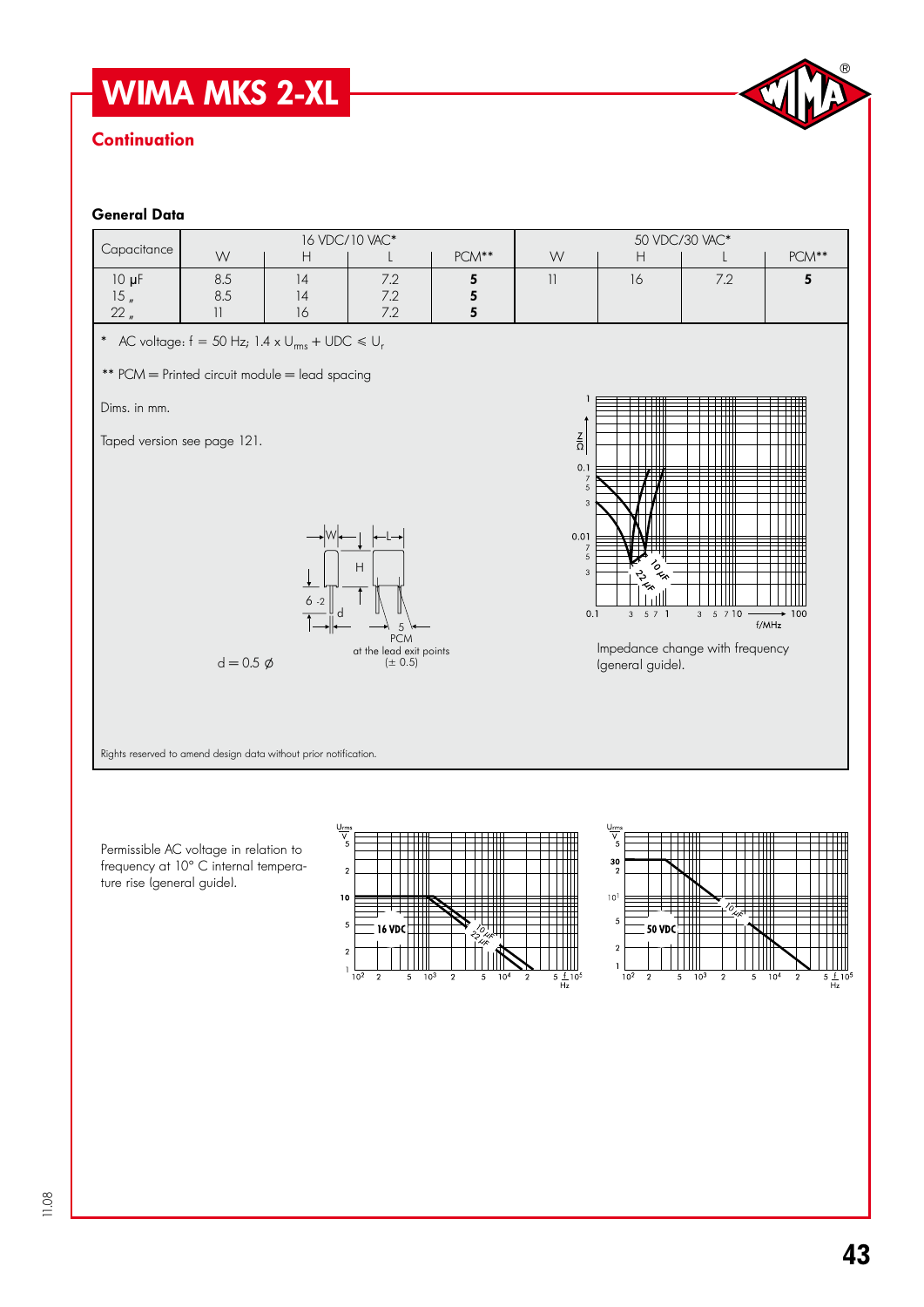# WIMA MKS 2-XL

# **Continuation**



#### General Data

| Capacitance                                                      | 16 VDC/10 VAC*                                          |               |                                                                |             | 50 VDC/30 VAC*                                                                                                            |                                                          |                                                        |                 |  |
|------------------------------------------------------------------|---------------------------------------------------------|---------------|----------------------------------------------------------------|-------------|---------------------------------------------------------------------------------------------------------------------------|----------------------------------------------------------|--------------------------------------------------------|-----------------|--|
|                                                                  | W                                                       | H             |                                                                | PCM**       | W                                                                                                                         | H                                                        |                                                        | $PCM**$         |  |
| $10 \mu F$<br>15 <sub>n</sub><br>$22_n$                          | 8.5<br>$8.5\,$<br>$\begin{array}{c} \hline \end{array}$ | 4<br> 4<br>16 | 7.2<br>7.2<br>7.2                                              | 5<br>5<br>5 | $\left  {}\right $                                                                                                        | 16                                                       | 7.2                                                    | $5\phantom{a}$  |  |
| * AC voltage: $f = 50$ Hz; 1.4 x $U_{rms}$ + UDC $\le U_r$       |                                                         |               |                                                                |             |                                                                                                                           |                                                          |                                                        |                 |  |
|                                                                  | ** PCM = Printed circuit module = lead spacing          |               |                                                                |             |                                                                                                                           |                                                          |                                                        |                 |  |
| Dims. in mm.                                                     |                                                         |               |                                                                |             |                                                                                                                           |                                                          |                                                        |                 |  |
| Taped version see page 121.                                      | $d = 0.5 \phi$                                          | $6 - 2$       | H<br>5<br><b>PCM</b><br>at the lead exit points<br>$(\pm 0.5)$ |             | $\frac{Z}{\Omega}$<br>0.1<br>$\frac{7}{5}$<br>$\sqrt{3}$<br>0.01<br>$\overline{7}$<br>$\overline{5}$<br>$\sqrt{3}$<br>0.1 | TO RE<br><b>S2.25</b><br>$3 - 5$ 7 1<br>Igeneral guidel. | $3 \t 5 \t 7 \t 10$<br>Impedance change with frequency | $+100$<br>f/MHz |  |
| Rights reserved to amend design data without prior notification. |                                                         |               |                                                                |             |                                                                                                                           |                                                          |                                                        |                 |  |

Permissible AC voltage in relation to frequency at 10° C internal temperature rise (general guide).



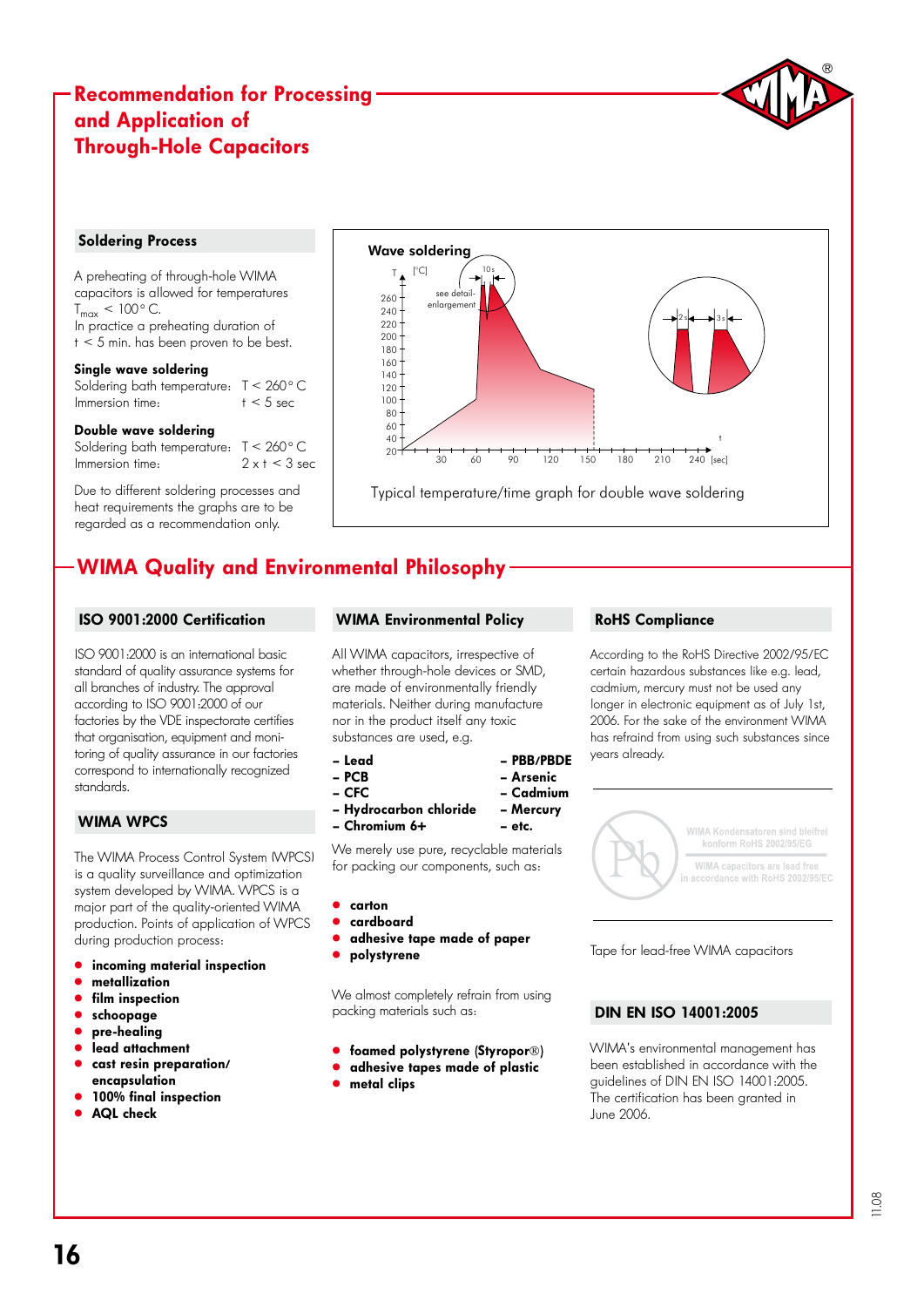# Recommendation for Processing and Application of Through-Hole Capacitors

#### Soldering Process

A preheating of through-hole WIMA capacitors is allowed for temperatures  $T_{max}$  < 100 $^{\circ}$  C. In practice a preheating duration of  $t < 5$  min. has been proven to be best.

#### Single wave soldering

Soldering bath temperature:  $T < 260$  ° C<br>Immersion time:  $t < 5$  sec Immersion time:

#### Double wave soldering

Soldering bath temperature:  $T < 260$  ° C<br>Immersion time:  $2 \times t < 3$  sec Immersion time:

Due to different soldering processes and heat requirements the graphs are to be regarded as a recommendation only.



# WIMA Quality and Environmental Philosophy

#### ISO 9001:2000 Certification

ISO 9001:2000 is an international basic standard of quality assurance systems for all branches of industry. The approval according to ISO 9001:2000 of our factories by the VDE inspectorate certifies that organisation, equipment and monitoring of quality assurance in our factories correspond to internationally recognized standards.

#### WIMA WPCS

The WIMA Process Control System (WPCS) is a quality surveillance and optimization system developed by WIMA. WPCS is a major part of the quality-oriented WIMA production. Points of application of WPCS during production process:

- incoming material inspection
- metallization
- film inspection
- schoopage
- pre-healing
- .<br>" lead attachment
- cast resin preparation/ encapsulation
- 100% final inspection
- AQL check

#### WIMA Environmental Policy

All WIMA capacitors, irrespective of whether through-hole devices or SMD, are made of environmentally friendly materials. Neither during manufacture nor in the product itself any toxic substances are used, e.g.

– Lead – PBB/PBDE

- PCB Arsenic
- CFC Cadmium
- Hydrocarbon chloride Mercury
- Chromium 6+ etc.

We merely use pure, recyclable materials for packing our components, such as:

- " carton
- " cardboard
- adhesive tape made of paper
- polystyrene

We almost completely refrain from using packing materials such as:

- **.** foamed polystyrene (Styropor®)
- **.** adhesive tapes made of plastic
- metal clips

#### RoHS Compliance

According to the RoHS Directive 2002/95/EC certain hazardous substances like e.g. lead, cadmium, mercury must not be used any longer in electronic equipment as of July 1st, 2006. For the sake of the environment WIMA has refraind from using such substances since years already.



Tape for lead-free WIMA capacitors

### DIN EN ISO 14001:2005

WIMA's environmental management has been established in accordance with the guidelines of DIN EN ISO 14001:2005. The certification has been granted in June 2006.